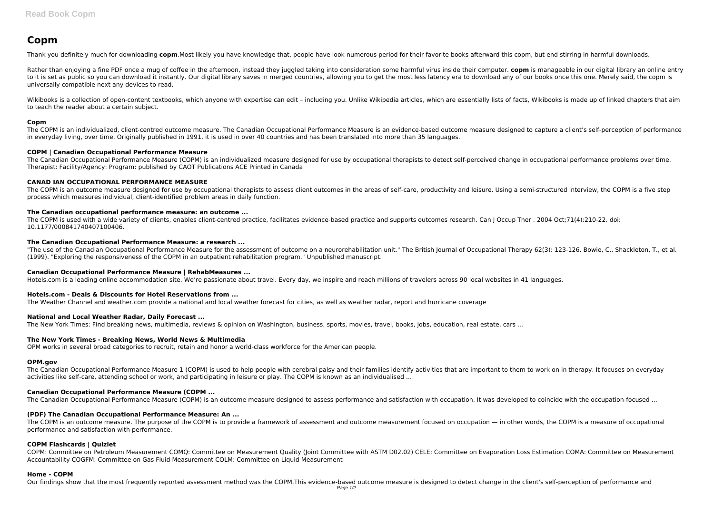# **Copm**

Thank you definitely much for downloading **copm**.Most likely you have knowledge that, people have look numerous period for their favorite books afterward this copm, but end stirring in harmful downloads.

Rather than enjoying a fine PDF once a mug of coffee in the afternoon, instead they juggled taking into consideration some harmful virus inside their computer. **copm** is manageable in our digital library an online entry to it is set as public so you can download it instantly. Our digital library saves in merged countries, allowing you to get the most less latency era to download any of our books once this one. Merely said, the copm is universally compatible next any devices to read.

Wikibooks is a collection of open-content textbooks, which anyone with expertise can edit - including you. Unlike Wikipedia articles, which are essentially lists of facts, Wikibooks is made up of linked chapters that aim to teach the reader about a certain subject.

### **Copm**

The COPM is an outcome measure designed for use by occupational therapists to assess client outcomes in the areas of self-care, productivity and leisure. Using a semi-structured interview, the COPM is a five step process which measures individual, client-identified problem areas in daily function.

The COPM is used with a wide variety of clients, enables client-centred practice, facilitates evidence-based practice and supports outcomes research. Can J Occup Ther . 2004 Oct;71(4):210-22. doi: 10.1177/000841740407100406.

The COPM is an individualized, client-centred outcome measure. The Canadian Occupational Performance Measure is an evidence-based outcome measure designed to capture a client's self-perception of performance in everyday living, over time. Originally published in 1991, it is used in over 40 countries and has been translated into more than 35 languages.

"The use of the Canadian Occupational Performance Measure for the assessment of outcome on a neurorehabilitation unit." The British Journal of Occupational Therapy 62(3): 123-126. Bowie, C., Shackleton, T., et al. (1999). "Exploring the responsiveness of the COPM in an outpatient rehabilitation program." Unpublished manuscript.

### **COPM | Canadian Occupational Performance Measure**

The Canadian Occupational Performance Measure (COPM) is an individualized measure designed for use by occupational therapists to detect self-perceived change in occupational performance problems over time. Therapist: Facility/Agency: Program: published by CAOT Publications ACE Printed in Canada

# **CANAD IAN OCCUPATIONAL PERFORMANCE MEASURE**

### **The Canadian occupational performance measure: an outcome ...**

The COPM is an outcome measure. The purpose of the COPM is to provide a framework of assessment and outcome measurement focused on occupation — in other words, the COPM is a measure of occupational performance and satisfaction with performance.

### **The Canadian Occupational Performance Measure: a research ...**

#### **Canadian Occupational Performance Measure | RehabMeasures ...**

Hotels.com is a leading online accommodation site. We're passionate about travel. Every day, we inspire and reach millions of travelers across 90 local websites in 41 languages.

# **Hotels.com - Deals & Discounts for Hotel Reservations from ...**

The Weather Channel and weather.com provide a national and local weather forecast for cities, as well as weather radar, report and hurricane coverage

# **National and Local Weather Radar, Daily Forecast ...**

The New York Times: Find breaking news, multimedia, reviews & opinion on Washington, business, sports, movies, travel, books, jobs, education, real estate, cars ...

#### **The New York Times - Breaking News, World News & Multimedia**

OPM works in several broad categories to recruit, retain and honor a world-class workforce for the American people.

#### **OPM.gov**

The Canadian Occupational Performance Measure 1 (COPM) is used to help people with cerebral palsy and their families identify activities that are important to them to work on in therapy. It focuses on everyday activities like self-care, attending school or work, and participating in leisure or play. The COPM is known as an individualised ...

# **Canadian Occupational Performance Measure (COPM ...**

The Canadian Occupational Performance Measure (COPM) is an outcome measure designed to assess performance and satisfaction with occupation. It was developed to coincide with the occupation-focused ...

# **(PDF) The Canadian Occupational Performance Measure: An ...**

# **COPM Flashcards | Quizlet**

COPM: Committee on Petroleum Measurement COMQ: Committee on Measurement Quality (Joint Committee with ASTM D02.02) CELE: Committee on Evaporation Loss Estimation COMA: Committee on Measurement Accountability COGFM: Committee on Gas Fluid Measurement COLM: Committee on Liquid Measurement

#### **Home - COPM**

Our findings show that the most frequently reported assessment method was the COPM.This evidence-based outcome measure is designed to detect change in the client's self-perception of performance and